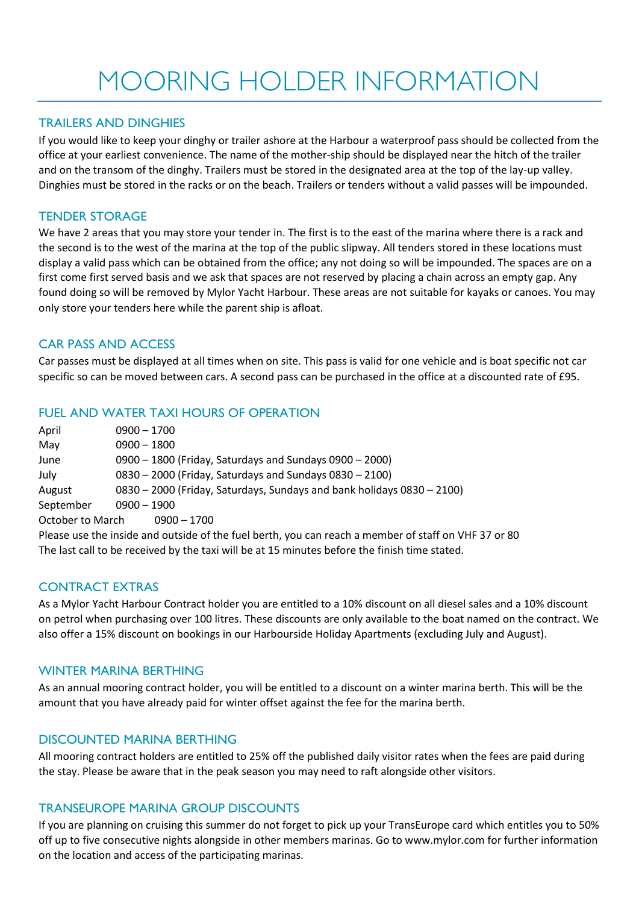# MOORING HOLDER INFORMATION

## TRAILERS AND DINGHIES

If you would like to keep your dinghy or trailer ashore at the Harbour a waterproof pass should be collected from the office at your earliest convenience. The name of the mother-ship should be displayed near the hitch of the trailer and on the transom of the dinghy. Trailers must be stored in the designated area at the top of the lay-up valley. Dinghies must be stored in the racks or on the beach. Trailers or tenders without a valid passes will be impounded.

#### TENDER STORAGE

We have 2 areas that you may store your tender in. The first is to the east of the marina where there is a rack and the second is to the west of the marina at the top of the public slipway. All tenders stored in these locations must display a valid pass which can be obtained from the office; any not doing so will be impounded. The spaces are on a first come first served basis and we ask that spaces are not reserved by placing a chain across an empty gap. Any found doing so will be removed by Mylor Yacht Harbour. These areas are not suitable for kayaks or canoes. You may only store your tenders here while the parent ship is afloat.

# CAR PASS AND ACCESS

Car passes must be displayed at all times when on site. This pass is valid for one vehicle and is boat specific not car specific so can be moved between cars. A second pass can be purchased in the office at a discounted rate of £95.

## FUEL AND WATER TAXI HOURS OF OPERATION

| April            | $0900 - 1700$                                                                                        |
|------------------|------------------------------------------------------------------------------------------------------|
| May              | $0900 - 1800$                                                                                        |
| June             | 0900 - 1800 (Friday, Saturdays and Sundays 0900 - 2000)                                              |
| July             | 0830 - 2000 (Friday, Saturdays and Sundays 0830 - 2100)                                              |
| August           | 0830 - 2000 (Friday, Saturdays, Sundays and bank holidays 0830 - 2100)                               |
| September        | $0900 - 1900$                                                                                        |
| October to March | $0900 - 1700$                                                                                        |
|                  | Please use the inside and outside of the fuel berth, you can reach a member of staff on VHF 37 or 80 |
|                  | The last call to be received by the taxi will be at 15 minutes before the finish time stated.        |

#### CONTRACT EXTRAS

As a Mylor Yacht Harbour Contract holder you are entitled to a 10% discount on all diesel sales and a 10% discount on petrol when purchasing over 100 litres. These discounts are only available to the boat named on the contract. We also offer a 15% discount on bookings in our Harbourside Holiday Apartments (excluding July and August).

#### WINTER MARINA BERTHING

As an annual mooring contract holder, you will be entitled to a discount on a winter marina berth. This will be the amount that you have already paid for winter offset against the fee for the marina berth.

#### DISCOUNTED MARINA BERTHING

All mooring contract holders are entitled to 25% off the published daily visitor rates when the fees are paid during the stay. Please be aware that in the peak season you may need to raft alongside other visitors.

#### TRANSEUROPE MARINA GROUP DISCOUNTS

If you are planning on cruising this summer do not forget to pick up your TransEurope card which entitles you to 50% off up to five consecutive nights alongside in other members marinas. Go to www.mylor.com for further information on the location and access of the participating marinas.